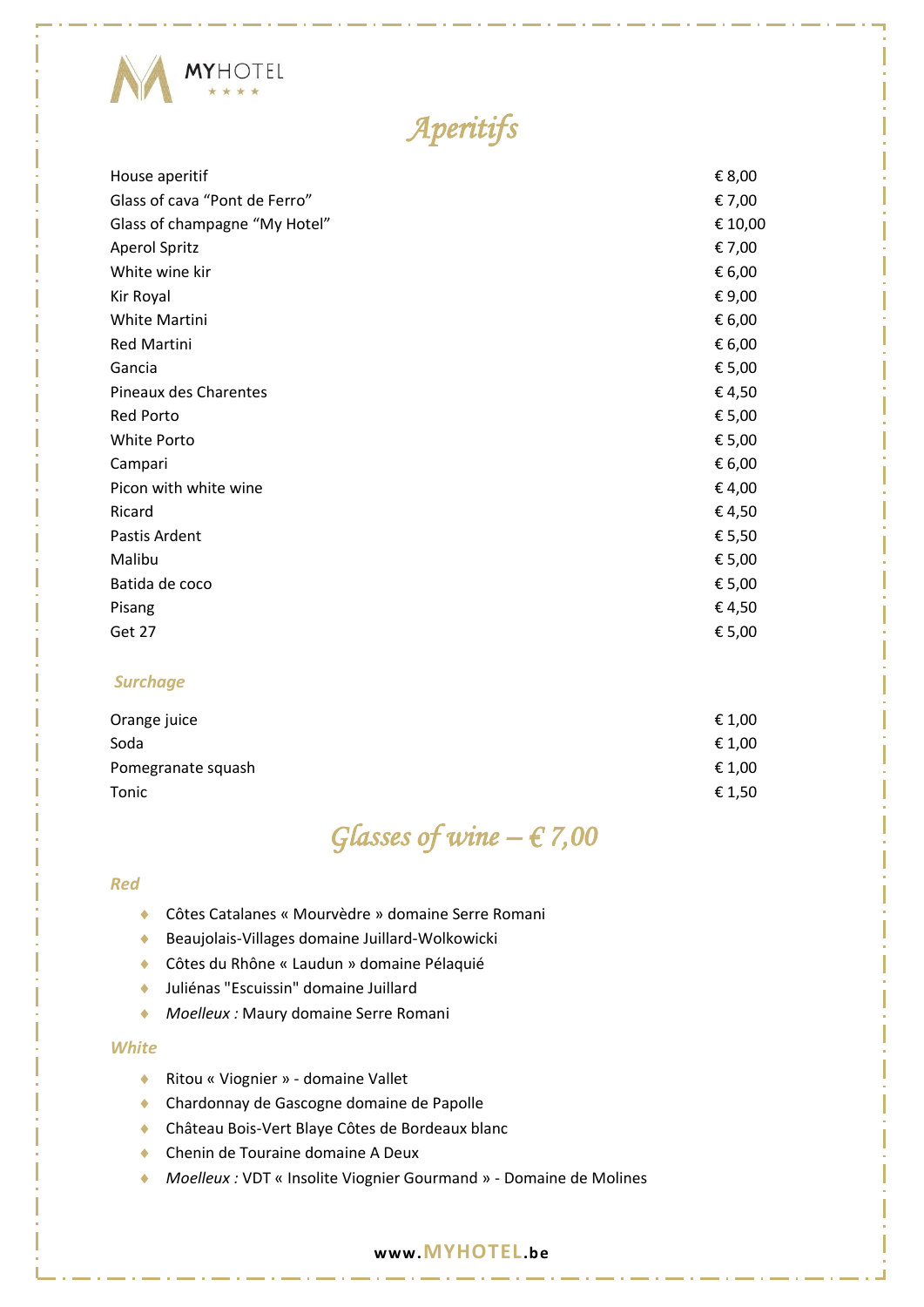

# *Aperitifs*

| € 8,00  |
|---------|
| € 7,00  |
| € 10,00 |
| € 7,00  |
| € 6,00  |
| € 9,00  |
| € 6,00  |
| € 6,00  |
| € 5,00  |
| €4,50   |
| € 5,00  |
| € 5,00  |
| € 6,00  |
| €4,00   |
| €4,50   |
| € 5,50  |
| € 5,00  |
| € 5,00  |
| €4,50   |
| € 5,00  |
|         |

#### *Surchage*

| € 1,00 |
|--------|
| € 1,00 |
| € 1,00 |
| € 1,50 |
|        |

### *Glasses of wine – € 7,00*

#### *Red*

- Côtes Catalanes « Mourvèdre » domaine Serre Romani
- Beaujolais-Villages domaine Juillard-Wolkowicki
- Côtes du Rhône « Laudun » domaine Pélaquié
- Juliénas "Escuissin" domaine Juillard
- *Moelleux :* Maury domaine Serre Romani

#### *White*

- ◆ Ritou « Viognier » domaine Vallet
- Chardonnay de Gascogne domaine de Papolle
- Château Bois-Vert Blaye Côtes de Bordeaux blanc
- ◆ Chenin de Touraine domaine A Deux
- *Moelleux :* VDT « Insolite Viognier Gourmand » Domaine de Molines

#### **www.MYHOTEL.be**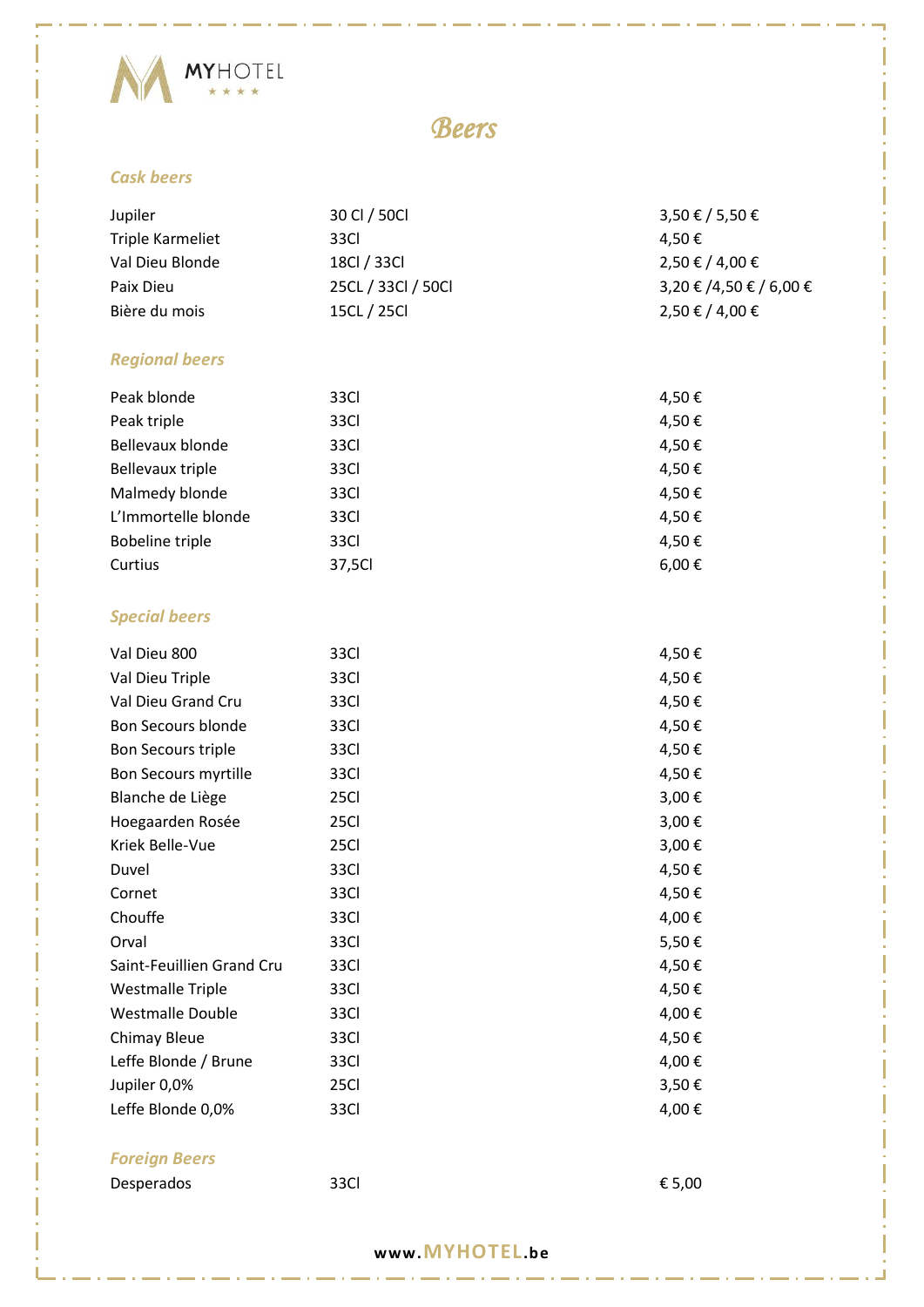

### *Beers*

#### *Cask beers*

| Jupiler                     | 30 CI / 50Cl       | 3,50 € / 5,50 €         |
|-----------------------------|--------------------|-------------------------|
| Triple Karmeliet            | 33Cl               | 4,50€                   |
| Val Dieu Blonde             | 18Cl / 33Cl        | 2,50 € / 4,00 €         |
| Paix Dieu                   | 25CL / 33Cl / 50Cl | 3,20 € /4,50 € / 6,00 € |
| Bière du mois               | 15CL / 25Cl        | 2,50 € / 4,00 €         |
|                             |                    |                         |
| <b>Regional beers</b>       |                    |                         |
| Peak blonde                 | 33Cl               | 4,50€                   |
| Peak triple                 | 33Cl               | 4,50€                   |
| Bellevaux blonde            | 33Cl               | 4,50€                   |
| <b>Bellevaux triple</b>     | 33Cl               | 4,50€                   |
| Malmedy blonde              | 33Cl               | 4,50€                   |
| L'Immortelle blonde         | 33Cl               | 4,50€                   |
| <b>Bobeline triple</b>      | 33Cl               | 4,50€                   |
| Curtius                     | 37,5Cl             | 6,00€                   |
| <b>Special beers</b>        |                    |                         |
| Val Dieu 800                | 33Cl               | 4,50€                   |
| Val Dieu Triple             | 33Cl               | 4,50€                   |
| Val Dieu Grand Cru          | 33Cl               | 4,50€                   |
| Bon Secours blonde          | 33Cl               | 4,50€                   |
| <b>Bon Secours triple</b>   | 33Cl               | 4,50€                   |
| <b>Bon Secours myrtille</b> | 33Cl               | 4,50€                   |
| Blanche de Liège            | 25Cl               | 3,00€                   |
| Hoegaarden Rosée            | 25Cl               | 3,00€                   |
| Kriek Belle-Vue             | 25Cl               | 3,00€                   |
| Duvel                       | 33Cl               | 4,50€                   |
| Cornet                      | 33Cl               | 4,50€                   |
| Chouffe                     | 33Cl               | 4,00€                   |
| Orval                       | 33Cl               | 5,50€                   |
| Saint-Feuillien Grand Cru   | 33Cl               | 4,50€                   |
| <b>Westmalle Triple</b>     | 33Cl               | 4,50€                   |
| <b>Westmalle Double</b>     | 33Cl               | 4,00€                   |
| Chimay Bleue                | 33Cl               | 4,50€                   |
| Leffe Blonde / Brune        | 33Cl               | 4,00€                   |
| Jupiler 0,0%                | 25Cl               | 3,50€                   |
| Leffe Blonde 0,0%           | 33Cl               | 4,00€                   |
| <b>Foreign Beers</b>        |                    |                         |
| Desperados                  | 33Cl               | € 5,00                  |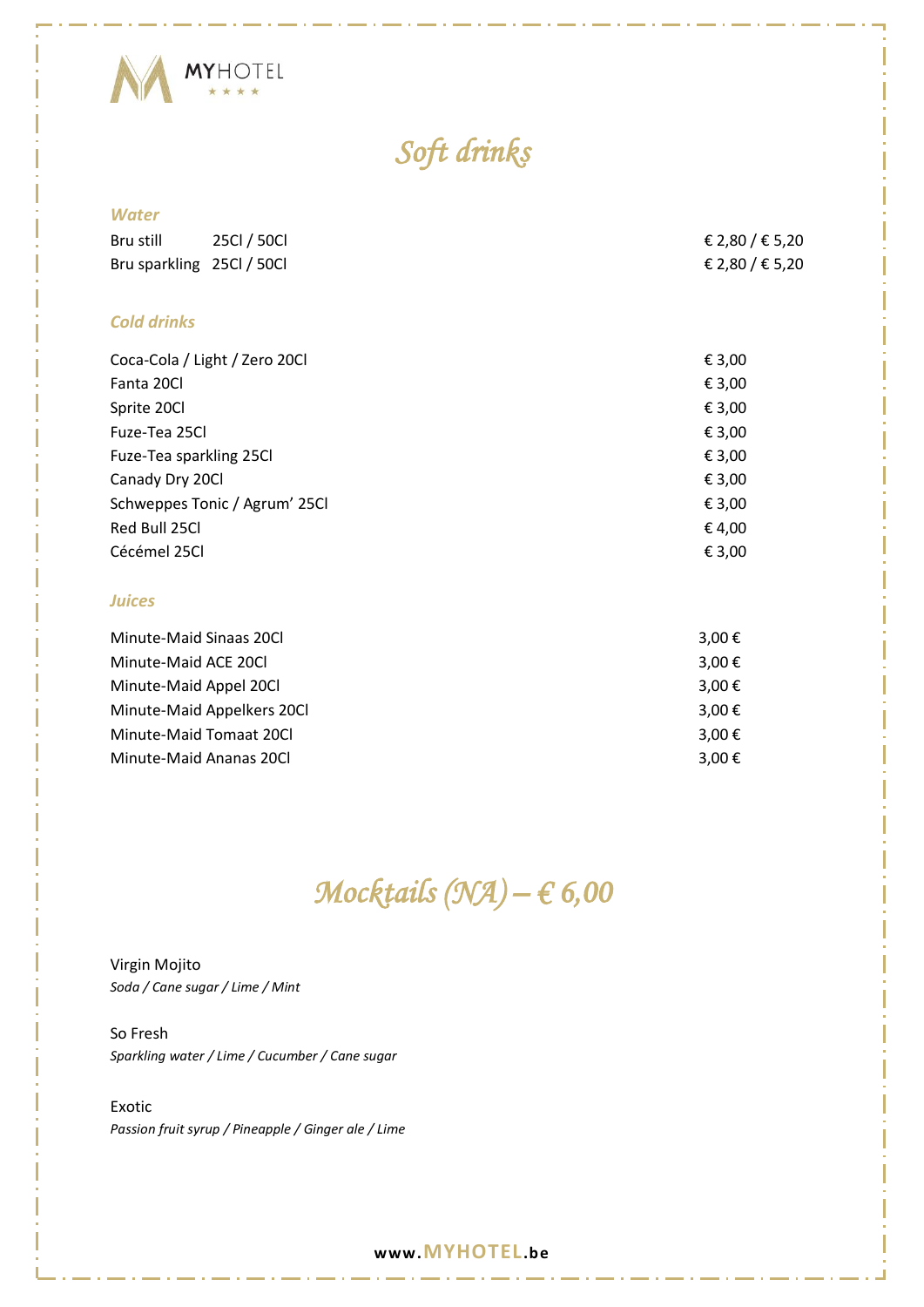

# *Soft drinks*

#### *Water*

| Bru still          | 25Cl / 50Cl                                       | € 2,80 / € 5,20 |
|--------------------|---------------------------------------------------|-----------------|
|                    | Bru sparkling 25Cl / 50Cl                         | € 2,80 / € 5,20 |
|                    |                                                   |                 |
| <b>Cold drinks</b> |                                                   |                 |
|                    | Coca-Cola / Light / Zero 20Cl                     | € 3,00          |
| Fanta 20Cl         |                                                   | € 3,00          |
| Sprite 20Cl        |                                                   | € 3,00          |
| Fuze-Tea 25Cl      |                                                   | € 3,00          |
|                    | Fuze-Tea sparkling 25Cl                           | € 3,00          |
| Canady Dry 20Cl    |                                                   | € 3,00          |
|                    | $C2$ $C3$ $C4$ $C5$ $C6$ $C7$ $C8$ $C9$ $C1$ $C1$ | $\epsilon$ 2.00 |

| Schweppes Tonic / Agrum' 25Cl | € 3.00 |
|-------------------------------|--------|
| Red Bull 25Cl                 | € 4.00 |
| Cécémel 25Cl                  | € 3.00 |

#### *Juices*

| Minute-Maid Sinaas 20Cl    | 3,00 € |
|----------------------------|--------|
| Minute-Maid ACE 20Cl       | 3,00 € |
| Minute-Maid Appel 20Cl     | 3,00 € |
| Minute-Maid Appelkers 20Cl | 3.00 € |
| Minute-Maid Tomaat 20Cl    | 3.00 € |
| Minute-Maid Ananas 20Cl    | 3,00 € |

# *Mocktails (NA) – € 6,00*

Virgin Mojito *Soda / Cane sugar / Lime / Mint*

So Fresh *Sparkling water / Lime / Cucumber / Cane sugar*

Exotic *Passion fruit syrup / Pineapple / Ginger ale / Lime*

#### **www.MYHOTEL.be**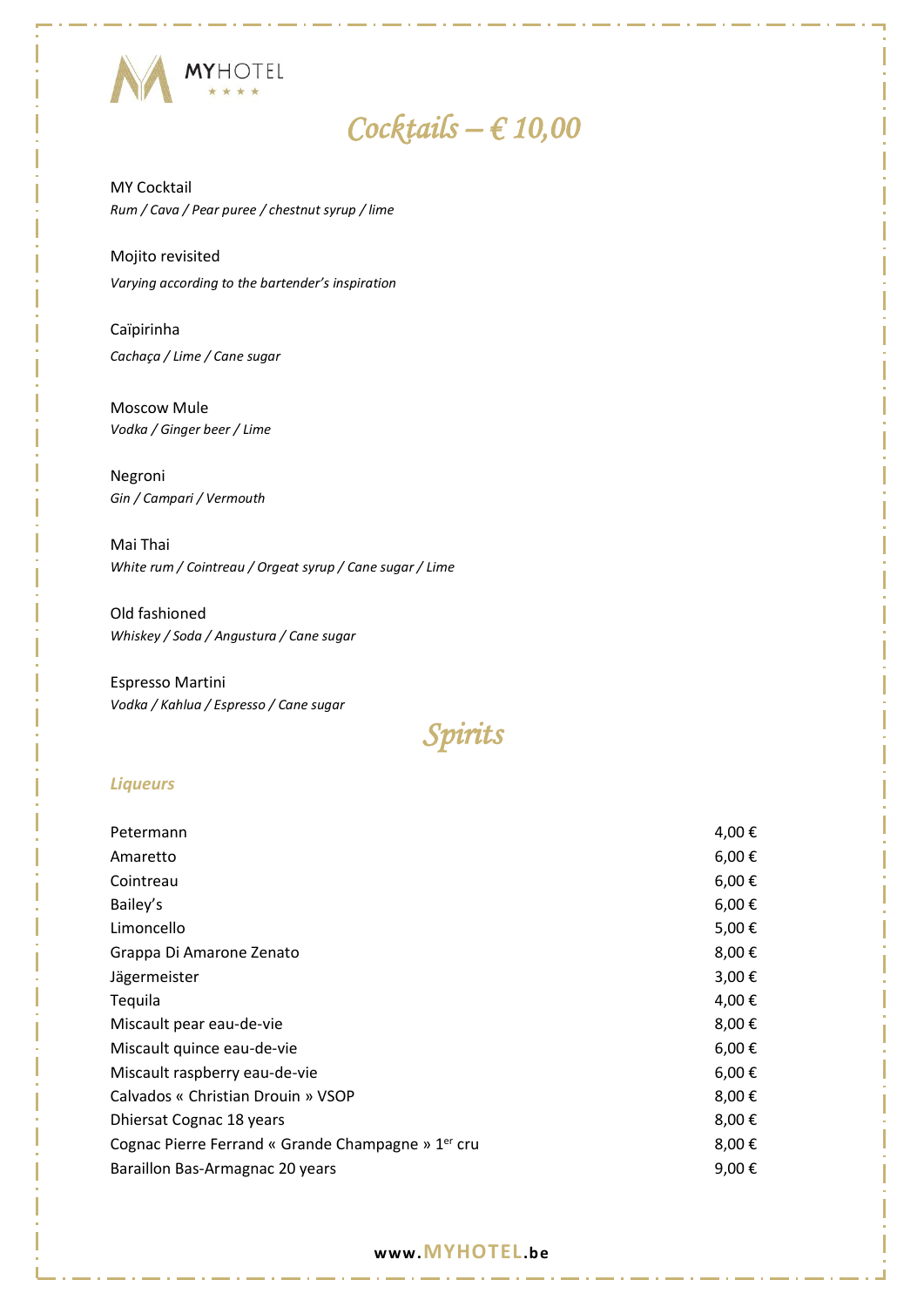

## *Cocktails – € 10,00*

MY Cocktail *Rum / Cava / Pear puree / chestnut syrup / lime*

Mojito revisited *Varying according to the bartender's inspiration*

Caïpirinha *Cachaça / Lime / Cane sugar*

Moscow Mule *Vodka / Ginger beer / Lime*

Negroni *Gin / Campari / Vermouth*

Mai Thai *White rum / Cointreau / Orgeat syrup / Cane sugar / Lime*

Old fashioned *Whiskey / Soda / Angustura / Cane sugar*

Espresso Martini *Vodka / Kahlua / Espresso / Cane sugar*

*Spirits* 

#### *Liqueurs*

| Petermann                                                      | 4,00€           |
|----------------------------------------------------------------|-----------------|
| Amaretto                                                       | $6,00 \in$      |
| Cointreau                                                      | $6,00 \in$      |
| Bailey's                                                       | $6,00 \in$      |
| Limoncello                                                     | 5,00€           |
| Grappa Di Amarone Zenato                                       | 8,00€           |
| Jägermeister                                                   | 3,00 €          |
| Tequila                                                        | 4,00 €          |
| Miscault pear eau-de-vie                                       | 8,00€           |
| Miscault quince eau-de-vie                                     | $6,00 \in$      |
| Miscault raspberry eau-de-vie                                  | $6,00 \in$      |
| Calvados « Christian Drouin » VSOP                             | 8,00€           |
| Dhiersat Cognac 18 years                                       | 8,00€           |
| Cognac Pierre Ferrand « Grande Champagne » 1 <sup>er</sup> cru | 8,00€           |
| Baraillon Bas-Armagnac 20 years                                | 9,00 $\epsilon$ |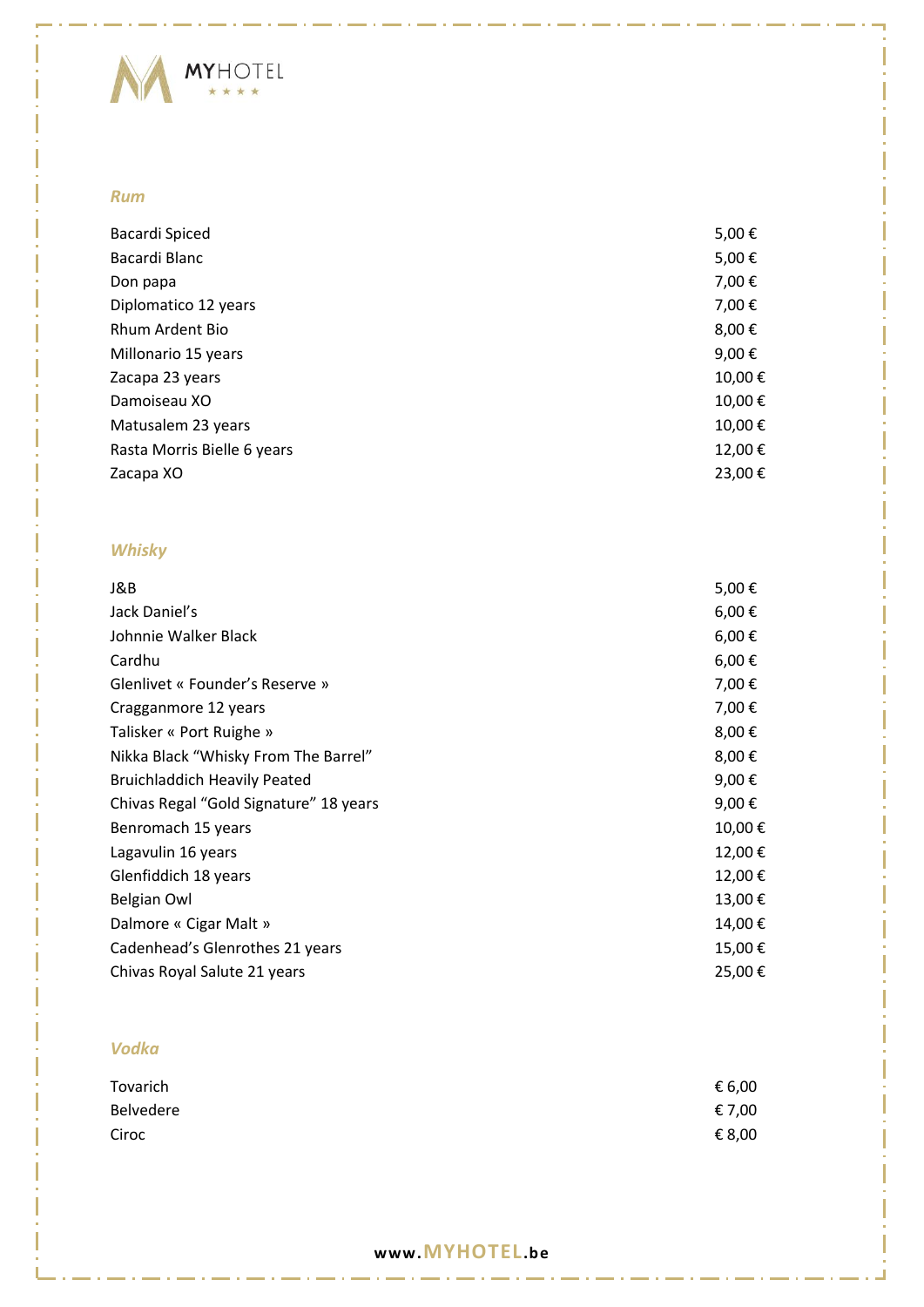

#### *Rum*

| Bacardi Spiced              | 5,00€  |
|-----------------------------|--------|
| Bacardi Blanc               | 5,00€  |
| Don papa                    | 7,00€  |
| Diplomatico 12 years        | 7,00€  |
| Rhum Ardent Bio             | 8,00€  |
| Millonario 15 years         | 9,00€  |
| Zacapa 23 years             | 10,00€ |
| Damoiseau XO                | 10,00€ |
| Matusalem 23 years          | 10,00€ |
| Rasta Morris Bielle 6 years | 12,00€ |
| Zacapa XO                   | 23,00€ |
|                             |        |

#### *Whisky*

| J&B                                    | 5,00€      |
|----------------------------------------|------------|
| Jack Daniel's                          | $6,00 \in$ |
| Johnnie Walker Black                   | $6,00 \in$ |
| Cardhu                                 | $6,00 \in$ |
| Glenlivet « Founder's Reserve »        | 7,00€      |
| Cragganmore 12 years                   | 7,00€      |
| Talisker « Port Ruighe »               | 8,00€      |
| Nikka Black "Whisky From The Barrel"   | 8,00€      |
| <b>Bruichladdich Heavily Peated</b>    | 9,00€      |
| Chivas Regal "Gold Signature" 18 years | 9,00€      |
| Benromach 15 years                     | 10,00€     |
| Lagavulin 16 years                     | 12,00€     |
| Glenfiddich 18 years                   | 12,00€     |
| Belgian Owl                            | 13,00€     |
| Dalmore « Cigar Malt »                 | 14,00€     |
| Cadenhead's Glenrothes 21 years        | 15,00€     |
| Chivas Royal Salute 21 years           | 25,00€     |

#### *Vodka*

| Tovarich  | € 6,00 |
|-----------|--------|
| Belvedere | € 7,00 |
| Ciroc     | € 8,00 |